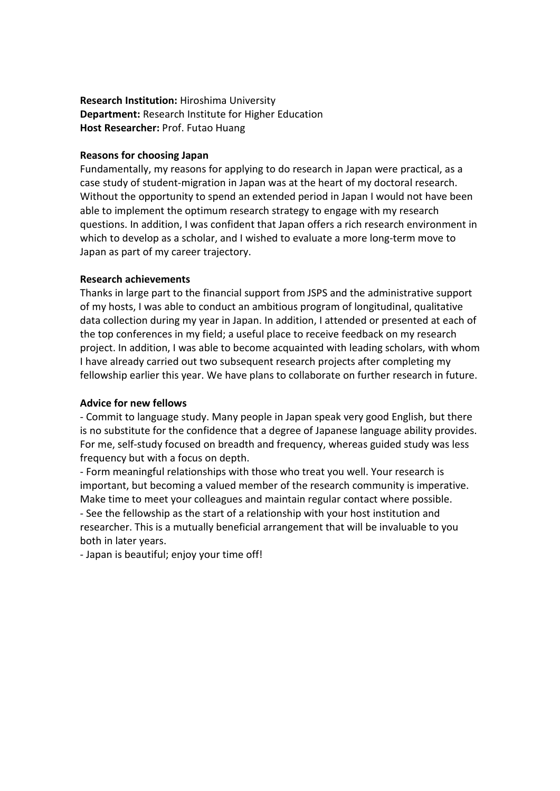## **Research Institution:** Hiroshima University **Department:** Research Institute for Higher Education **Host Researcher:** Prof. Futao Huang

## **Reasons for choosing Japan**

Fundamentally, my reasons for applying to do research in Japan were practical, as a case study of student-migration in Japan was at the heart of my doctoral research. Without the opportunity to spend an extended period in Japan I would not have been able to implement the optimum research strategy to engage with my research questions. In addition, I was confident that Japan offers a rich research environment in which to develop as a scholar, and I wished to evaluate a more long-term move to Japan as part of my career trajectory.

## **Research achievements**

Thanks in large part to the financial support from JSPS and the administrative support of my hosts, I was able to conduct an ambitious program of longitudinal, qualitative data collection during my year in Japan. In addition, I attended or presented at each of the top conferences in my field; a useful place to receive feedback on my research project. In addition, I was able to become acquainted with leading scholars, with whom I have already carried out two subsequent research projects after completing my fellowship earlier this year. We have plans to collaborate on further research in future.

## **Advice for new fellows**

- Commit to language study. Many people in Japan speak very good English, but there is no substitute for the confidence that a degree of Japanese language ability provides. For me, self-study focused on breadth and frequency, whereas guided study was less frequency but with a focus on depth.

- Form meaningful relationships with those who treat you well. Your research is important, but becoming a valued member of the research community is imperative. Make time to meet your colleagues and maintain regular contact where possible. - See the fellowship as the start of a relationship with your host institution and researcher. This is a mutually beneficial arrangement that will be invaluable to you both in later years.

- Japan is beautiful; enjoy your time off!